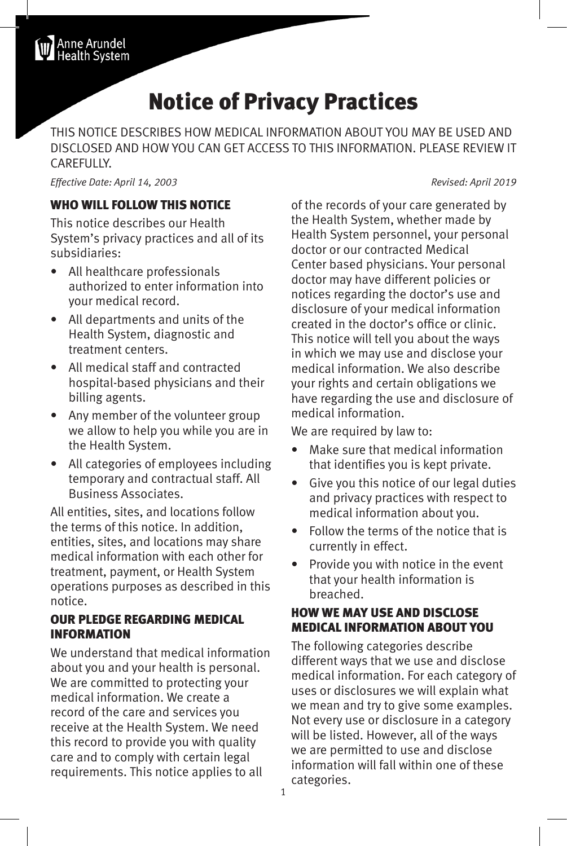# Notice of Privacy Practices

THIS NOTICE DESCRIBES HOW MEDICAL INFORMATION ABOUT YOU MAY BE USED AND DISCLOSED AND HOW YOU CAN GET ACCESS TO THIS INFORMATION. PLEASE REVIEW IT CARFFULLY.

*Effective Date: April 14, 2003 Revised: April 2019*

## WHO WILL FOLLOW THIS NOTICE

This notice describes our Health System's privacy practices and all of its subsidiaries:

- All healthcare professionals authorized to enter information into your medical record.
- All departments and units of the Health System, diagnostic and treatment centers.
- All medical staff and contracted hospital-based physicians and their billing agents.
- Any member of the volunteer group we allow to help you while you are in the Health System.
- All categories of employees including temporary and contractual staff. All Business Associates.

All entities, sites, and locations follow the terms of this notice. In addition, entities, sites, and locations may share medical information with each other for treatment, payment, or Health System operations purposes as described in this notice.

## OUR PLEDGE REGARDING MEDICAL INFORMATION

We understand that medical information about you and your health is personal. We are committed to protecting your medical information. We create a record of the care and services you receive at the Health System. We need this record to provide you with quality care and to comply with certain legal requirements. This notice applies to all

of the records of your care generated by the Health System, whether made by Health System personnel, your personal doctor or our contracted Medical Center based physicians. Your personal doctor may have different policies or notices regarding the doctor's use and disclosure of your medical information created in the doctor's office or clinic. This notice will tell you about the ways in which we may use and disclose your medical information. We also describe your rights and certain obligations we have regarding the use and disclosure of medical information.

We are required by law to:

- Make sure that medical information that identifies you is kept private.
- Give you this notice of our legal duties and privacy practices with respect to medical information about you.
- Follow the terms of the notice that is currently in effect.
- Provide you with notice in the event that your health information is breached.

#### HOW WE MAY USE AND DISCLOSE MEDICAL INFORMATION ABOUT YOU

The following categories describe different ways that we use and disclose medical information. For each category of uses or disclosures we will explain what we mean and try to give some examples. Not every use or disclosure in a category will be listed. However, all of the ways we are permitted to use and disclose information will fall within one of these categories.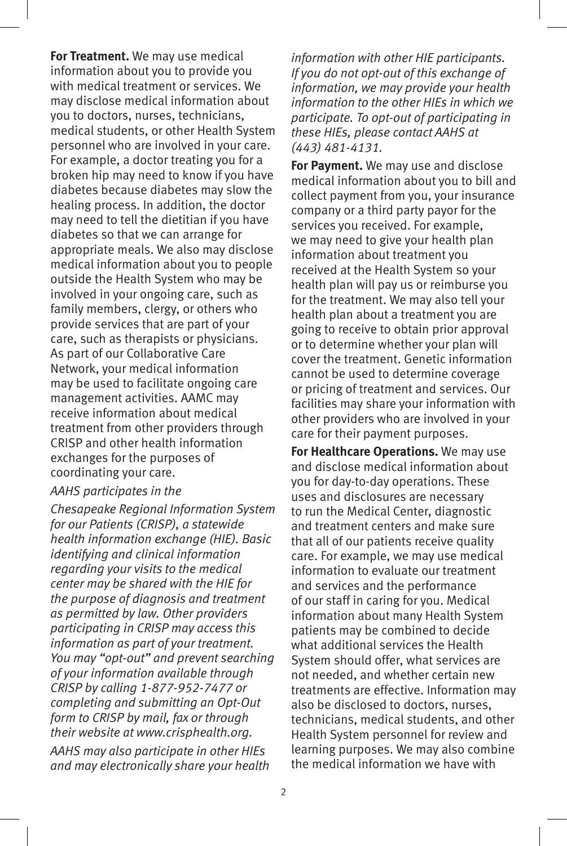**For Treatment.** We may use medical information about you to provide you with medical treatment or services. We may disclose medical information about you to doctors, nurses, technicians, medical students, or other Health System personnel who are involved in your care. For example, a doctor treating you for a broken hip may need to know if you have diabetes because diabetes may slow the healing process. In addition, the doctor may need to tell the dietitian if you have diabetes so that we can arrange for appropriate meals. We also may disclose medical information about you to people outside the Health System who may be involved in your ongoing care, such as family members, clergy, or others who provide services that are part of your care, such as therapists or physicians. As part of our Collaborative Care Network, your medical information may be used to facilitate ongoing care management activities. AAMC may receive information about medical treatment from other providers through CRISP and other health information exchanges for the purposes of coordinating your care.

#### *AAHS participates in the*

*Chesapeake Regional Information System for our Patients (CRISP), a statewide health information exchange (HIE). Basic identifying and clinical information regarding your visits to the medical center may be shared with the HIE for the purpose of diagnosis and treatment as permitted by law. Other providers participating in CRISP may access this information as part of your treatment. You may "opt-out" and prevent searching of your information available through CRISP by calling 1-877-952-7477 or completing and submitting an Opt-Out form to CRISP by mail, fax or through their website at www.crisphealth.org. AAHS may also participate in other HIEs and may electronically share your health* 

*information with other HIE participants. If you do not opt-out of this exchange of information, we may provide your health information to the other HIEs in which we participate. To opt-out of participating in these HIEs, please contact AAHS at (443) 481-4131.*

**For Payment.** We may use and disclose medical information about you to bill and collect payment from you, your insurance company or a third party payor for the services you received. For example, we may need to give your health plan information about treatment you received at the Health System so your health plan will pay us or reimburse you for the treatment. We may also tell your health plan about a treatment you are going to receive to obtain prior approval or to determine whether your plan will cover the treatment. Genetic information cannot be used to determine coverage or pricing of treatment and services. Our facilities may share your information with other providers who are involved in your care for their payment purposes.

**For Healthcare Operations.** We may use and disclose medical information about you for day-to-day operations. These uses and disclosures are necessary to run the Medical Center, diagnostic and treatment centers and make sure that all of our patients receive quality care. For example, we may use medical information to evaluate our treatment and services and the performance of our staff in caring for you. Medical information about many Health System patients may be combined to decide what additional services the Health System should offer, what services are not needed, and whether certain new treatments are effective. Information may also be disclosed to doctors, nurses, technicians, medical students, and other Health System personnel for review and learning purposes. We may also combine the medical information we have with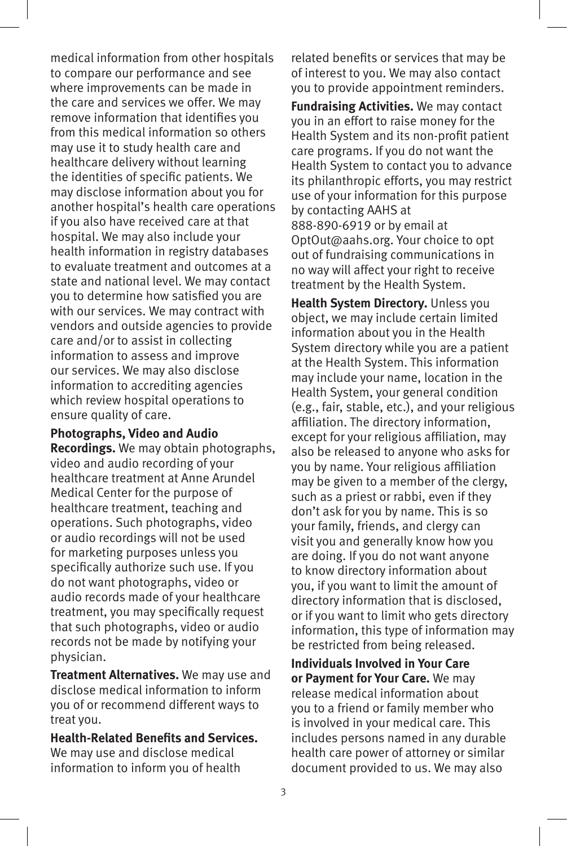medical information from other hospitals to compare our performance and see where improvements can be made in the care and services we offer. We may remove information that identifies you from this medical information so others may use it to study health care and healthcare delivery without learning the identities of specific patients. We may disclose information about you for another hospital's health care operations if you also have received care at that hospital. We may also include your health information in registry databases to evaluate treatment and outcomes at a state and national level. We may contact you to determine how satisfied you are with our services. We may contract with vendors and outside agencies to provide care and/or to assist in collecting information to assess and improve our services. We may also disclose information to accrediting agencies which review hospital operations to ensure quality of care.

**Photographs, Video and Audio** 

**Recordings.** We may obtain photographs, video and audio recording of your healthcare treatment at Anne Arundel Medical Center for the purpose of healthcare treatment, teaching and operations. Such photographs, video or audio recordings will not be used for marketing purposes unless you specifically authorize such use. If you do not want photographs, video or audio records made of your healthcare treatment, you may specifically request that such photographs, video or audio records not be made by notifying your physician.

**Treatment Alternatives.** We may use and disclose medical information to inform you of or recommend different ways to treat you.

**Health-Related Benefits and Services.** We may use and disclose medical information to inform you of health

related benefits or services that may be of interest to you. We may also contact you to provide appointment reminders.

**Fundraising Activities.** We may contact you in an effort to raise money for the Health System and its non-profit patient care programs. If you do not want the Health System to contact you to advance its philanthropic efforts, you may restrict use of your information for this purpose by contacting AAHS at 888-890-6919 or by email at OptOut@aahs.org. Your choice to opt out of fundraising communications in no way will affect your right to receive treatment by the Health System.

**Health System Directory.** Unless you object, we may include certain limited information about you in the Health System directory while you are a patient at the Health System. This information may include your name, location in the Health System, your general condition (e.g., fair, stable, etc.), and your religious affiliation. The directory information, except for your religious affiliation, may also be released to anyone who asks for you by name. Your religious affiliation may be given to a member of the clergy, such as a priest or rabbi, even if they don't ask for you by name. This is so your family, friends, and clergy can visit you and generally know how you are doing. If you do not want anyone to know directory information about you, if you want to limit the amount of directory information that is disclosed, or if you want to limit who gets directory information, this type of information may be restricted from being released.

**Individuals Involved in Your Care or Payment for Your Care.** We may release medical information about you to a friend or family member who is involved in your medical care. This includes persons named in any durable health care power of attorney or similar document provided to us. We may also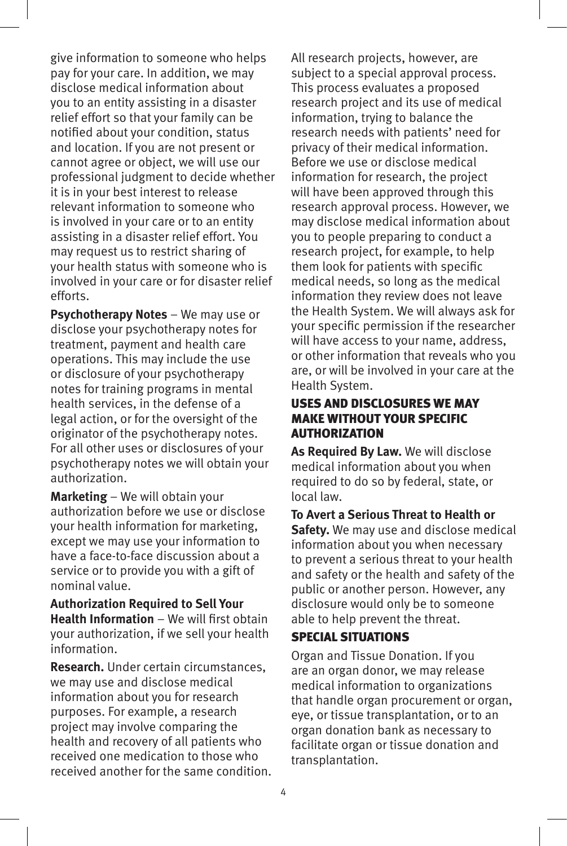give information to someone who helps pay for your care. In addition, we may disclose medical information about you to an entity assisting in a disaster relief effort so that your family can be notified about your condition, status and location. If you are not present or cannot agree or object, we will use our professional judgment to decide whether it is in your best interest to release relevant information to someone who is involved in your care or to an entity assisting in a disaster relief effort. You may request us to restrict sharing of your health status with someone who is involved in your care or for disaster relief efforts.

**Psychotherapy Notes** – We may use or disclose your psychotherapy notes for treatment, payment and health care operations. This may include the use or disclosure of your psychotherapy notes for training programs in mental health services, in the defense of a legal action, or for the oversight of the originator of the psychotherapy notes. For all other uses or disclosures of your psychotherapy notes we will obtain your authorization.

**Marketing** – We will obtain your authorization before we use or disclose your health information for marketing, except we may use your information to have a face-to-face discussion about a service or to provide you with a gift of nominal value.

**Authorization Required to Sell Your Health Information** – We will first obtain your authorization, if we sell your health information.

**Research.** Under certain circumstances, we may use and disclose medical information about you for research purposes. For example, a research project may involve comparing the health and recovery of all patients who received one medication to those who received another for the same condition. All research projects, however, are subject to a special approval process. This process evaluates a proposed research project and its use of medical information, trying to balance the research needs with patients' need for privacy of their medical information. Before we use or disclose medical information for research, the project will have been approved through this research approval process. However, we may disclose medical information about you to people preparing to conduct a research project, for example, to help them look for patients with specific medical needs, so long as the medical information they review does not leave the Health System. We will always ask for your specific permission if the researcher will have access to your name, address, or other information that reveals who you are, or will be involved in your care at the Health System.

#### USES AND DISCLOSURES WE MAY MAKE WITHOUT YOUR SPECIFIC AUTHORIZATION

**As Required By Law.** We will disclose medical information about you when required to do so by federal, state, or local law.

**To Avert a Serious Threat to Health or Safety.** We may use and disclose medical information about you when necessary to prevent a serious threat to your health and safety or the health and safety of the public or another person. However, any disclosure would only be to someone able to help prevent the threat.

# SPECIAL SITUATIONS

Organ and Tissue Donation. If you are an organ donor, we may release medical information to organizations that handle organ procurement or organ, eye, or tissue transplantation, or to an organ donation bank as necessary to facilitate organ or tissue donation and transplantation.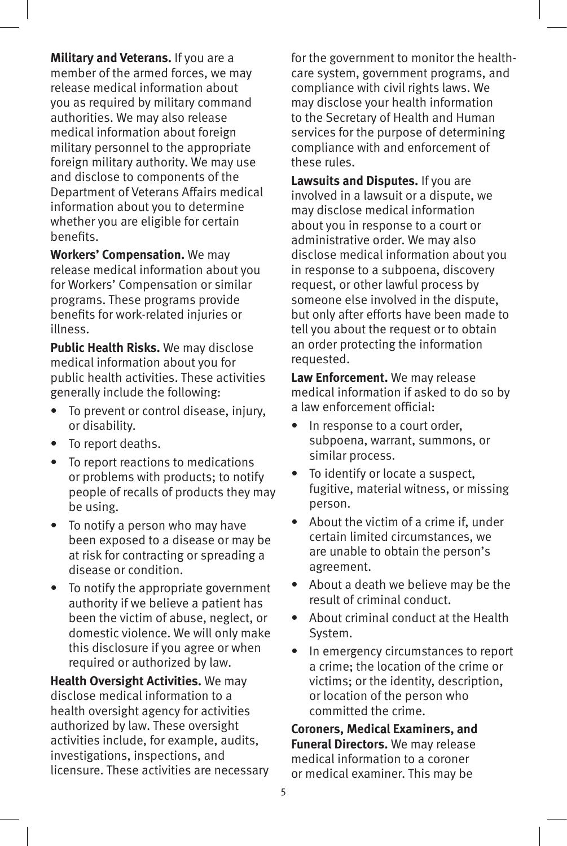**Military and Veterans.** If you are a member of the armed forces, we may release medical information about you as required by military command authorities. We may also release medical information about foreign military personnel to the appropriate foreign military authority. We may use and disclose to components of the Department of Veterans Affairs medical information about you to determine whether you are eligible for certain benefits.

**Workers' Compensation.** We may release medical information about you for Workers' Compensation or similar programs. These programs provide benefits for work-related injuries or illness.

**Public Health Risks.** We may disclose medical information about you for public health activities. These activities generally include the following:

- To prevent or control disease, injury, or disability.
- To report deaths.
- To report reactions to medications or problems with products; to notify people of recalls of products they may be using.
- To notify a person who may have been exposed to a disease or may be at risk for contracting or spreading a disease or condition.
- To notify the appropriate government authority if we believe a patient has been the victim of abuse, neglect, or domestic violence. We will only make this disclosure if you agree or when required or authorized by law.

**Health Oversight Activities.** We may disclose medical information to a health oversight agency for activities authorized by law. These oversight activities include, for example, audits, investigations, inspections, and licensure. These activities are necessary for the government to monitor the healthcare system, government programs, and compliance with civil rights laws. We may disclose your health information to the Secretary of Health and Human services for the purpose of determining compliance with and enforcement of these rules.

**Lawsuits and Disputes.** If you are involved in a lawsuit or a dispute, we may disclose medical information about you in response to a court or administrative order. We may also disclose medical information about you in response to a subpoena, discovery request, or other lawful process by someone else involved in the dispute, but only after efforts have been made to tell you about the request or to obtain an order protecting the information requested.

**Law Enforcement.** We may release medical information if asked to do so by a law enforcement official:

- In response to a court order. subpoena, warrant, summons, or similar process.
- To identify or locate a suspect, fugitive, material witness, or missing person.
- About the victim of a crime if, under certain limited circumstances, we are unable to obtain the person's agreement.
- About a death we believe may be the result of criminal conduct.
- About criminal conduct at the Health System.
- In emergency circumstances to report a crime; the location of the crime or victims; or the identity, description, or location of the person who committed the crime.

**Coroners, Medical Examiners, and Funeral Directors.** We may release medical information to a coroner or medical examiner. This may be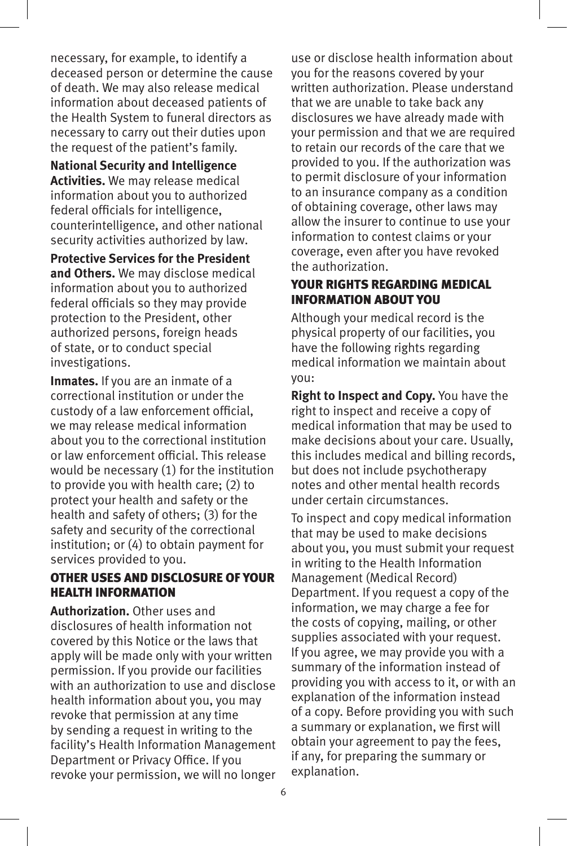necessary, for example, to identify a deceased person or determine the cause of death. We may also release medical information about deceased patients of the Health System to funeral directors as necessary to carry out their duties upon the request of the patient's family.

**National Security and Intelligence Activities.** We may release medical information about you to authorized federal officials for intelligence, counterintelligence, and other national security activities authorized by law.

**Protective Services for the President and Others.** We may disclose medical information about you to authorized federal officials so they may provide protection to the President, other authorized persons, foreign heads of state, or to conduct special investigations.

**Inmates.** If you are an inmate of a correctional institution or under the custody of a law enforcement official, we may release medical information about you to the correctional institution or law enforcement official. This release would be necessary (1) for the institution to provide you with health care; (2) to protect your health and safety or the health and safety of others; (3) for the safety and security of the correctional institution; or (4) to obtain payment for services provided to you.

## OTHER USES AND DISCLOSURE OF YOUR HEALTH INFORMATION

**Authorization.** Other uses and disclosures of health information not covered by this Notice or the laws that apply will be made only with your written permission. If you provide our facilities with an authorization to use and disclose health information about you, you may revoke that permission at any time by sending a request in writing to the facility's Health Information Management Department or Privacy Office. If you revoke your permission, we will no longer

use or disclose health information about you for the reasons covered by your written authorization. Please understand that we are unable to take back any disclosures we have already made with your permission and that we are required to retain our records of the care that we provided to you. If the authorization was to permit disclosure of your information to an insurance company as a condition of obtaining coverage, other laws may allow the insurer to continue to use your information to contest claims or your coverage, even after you have revoked the authorization.

## YOUR RIGHTS REGARDING MEDICAL INFORMATION ABOUT YOU

Although your medical record is the physical property of our facilities, you have the following rights regarding medical information we maintain about you:

**Right to Inspect and Copy.** You have the right to inspect and receive a copy of medical information that may be used to make decisions about your care. Usually, this includes medical and billing records, but does not include psychotherapy notes and other mental health records under certain circumstances.

To inspect and copy medical information that may be used to make decisions about you, you must submit your request in writing to the Health Information Management (Medical Record) Department. If you request a copy of the information, we may charge a fee for the costs of copying, mailing, or other supplies associated with your request. If you agree, we may provide you with a summary of the information instead of providing you with access to it, or with an explanation of the information instead of a copy. Before providing you with such a summary or explanation, we first will obtain your agreement to pay the fees, if any, for preparing the summary or explanation.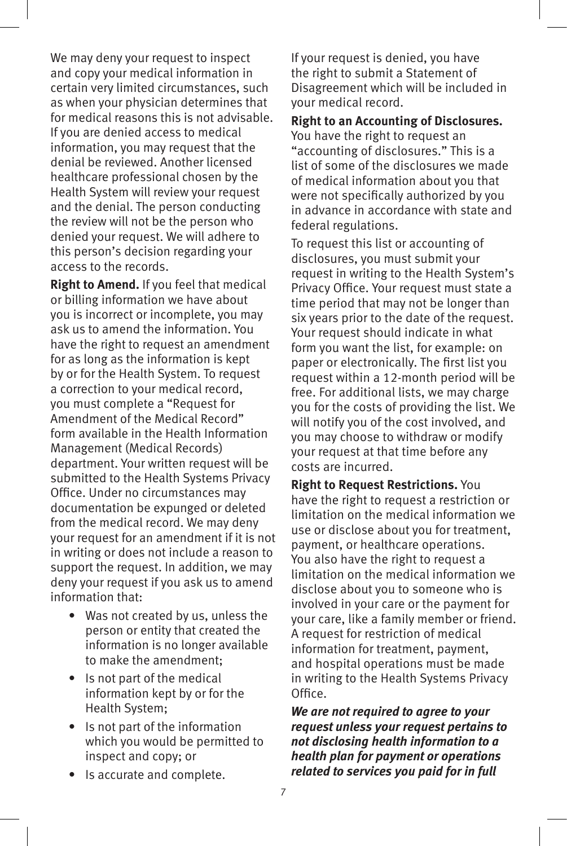We may deny your request to inspect and copy your medical information in certain very limited circumstances, such as when your physician determines that for medical reasons this is not advisable. If you are denied access to medical information, you may request that the denial be reviewed. Another licensed healthcare professional chosen by the Health System will review your request and the denial. The person conducting the review will not be the person who denied your request. We will adhere to this person's decision regarding your access to the records.

**Right to Amend.** If you feel that medical or billing information we have about you is incorrect or incomplete, you may ask us to amend the information. You have the right to request an amendment for as long as the information is kept by or for the Health System. To request a correction to your medical record, you must complete a "Request for Amendment of the Medical Record" form available in the Health Information Management (Medical Records) department. Your written request will be submitted to the Health Systems Privacy Office. Under no circumstances may documentation be expunged or deleted from the medical record. We may deny your request for an amendment if it is not in writing or does not include a reason to support the request. In addition, we may deny your request if you ask us to amend information that:

- Was not created by us, unless the person or entity that created the information is no longer available to make the amendment;
- Is not part of the medical information kept by or for the Health System;
- Is not part of the information which you would be permitted to inspect and copy; or
- Is accurate and complete.

If your request is denied, you have the right to submit a Statement of Disagreement which will be included in your medical record.

#### **Right to an Accounting of Disclosures.**

You have the right to request an "accounting of disclosures." This is a list of some of the disclosures we made of medical information about you that were not specifically authorized by you in advance in accordance with state and federal regulations.

To request this list or accounting of disclosures, you must submit your request in writing to the Health System's Privacy Office. Your request must state a time period that may not be longer than six years prior to the date of the request. Your request should indicate in what form you want the list, for example: on paper or electronically. The first list you request within a 12-month period will be free. For additional lists, we may charge you for the costs of providing the list. We will notify you of the cost involved, and you may choose to withdraw or modify your request at that time before any costs are incurred.

**Right to Request Restrictions.** You have the right to request a restriction or limitation on the medical information we use or disclose about you for treatment, payment, or healthcare operations. You also have the right to request a limitation on the medical information we disclose about you to someone who is involved in your care or the payment for your care, like a family member or friend. A request for restriction of medical information for treatment, payment, and hospital operations must be made in writing to the Health Systems Privacy Office.

*We are not required to agree to your request unless your request pertains to not disclosing health information to a health plan for payment or operations related to services you paid for in full*